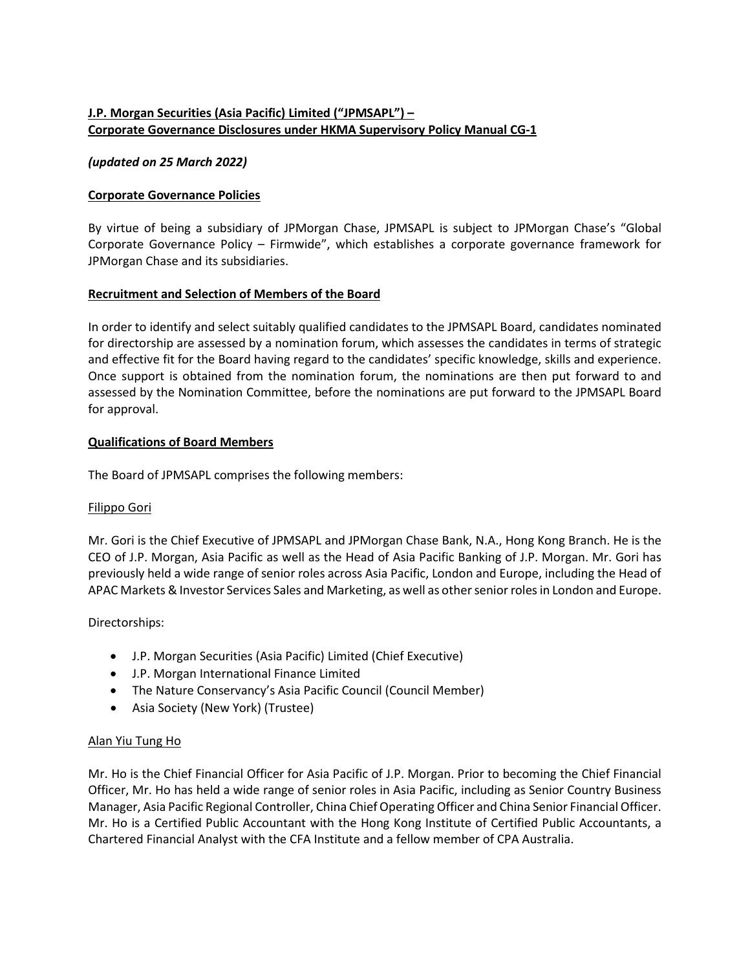# **J.P. Morgan Securities (Asia Pacific) Limited ("JPMSAPL") – Corporate Governance Disclosures under HKMA Supervisory Policy Manual CG-1**

## *(updated on 25 March 2022)*

### **Corporate Governance Policies**

By virtue of being a subsidiary of JPMorgan Chase, JPMSAPL is subject to JPMorgan Chase's "Global Corporate Governance Policy – Firmwide", which establishes a corporate governance framework for JPMorgan Chase and its subsidiaries.

#### **Recruitment and Selection of Members of the Board**

In order to identify and select suitably qualified candidates to the JPMSAPL Board, candidates nominated for directorship are assessed by a nomination forum, which assesses the candidates in terms of strategic and effective fit for the Board having regard to the candidates' specific knowledge, skills and experience. Once support is obtained from the nomination forum, the nominations are then put forward to and assessed by the Nomination Committee, before the nominations are put forward to the JPMSAPL Board for approval.

### **Qualifications of Board Members**

The Board of JPMSAPL comprises the following members:

#### Filippo Gori

Mr. Gori is the Chief Executive of JPMSAPL and JPMorgan Chase Bank, N.A., Hong Kong Branch. He is the CEO of J.P. Morgan, Asia Pacific as well as the Head of Asia Pacific Banking of J.P. Morgan. Mr. Gori has previously held a wide range of senior roles across Asia Pacific, London and Europe, including the Head of APAC Markets & Investor Services Sales and Marketing, as well as other senior roles in London and Europe.

Directorships:

- J.P. Morgan Securities (Asia Pacific) Limited (Chief Executive)
- J.P. Morgan International Finance Limited
- The Nature Conservancy's Asia Pacific Council (Council Member)
- Asia Society (New York) (Trustee)

#### Alan Yiu Tung Ho

Mr. Ho is the Chief Financial Officer for Asia Pacific of J.P. Morgan. Prior to becoming the Chief Financial Officer, Mr. Ho has held a wide range of senior roles in Asia Pacific, including as Senior Country Business Manager, Asia Pacific Regional Controller, China Chief Operating Officer and China Senior Financial Officer. Mr. Ho is a Certified Public Accountant with the Hong Kong Institute of Certified Public Accountants, a Chartered Financial Analyst with the CFA Institute and a fellow member of CPA Australia.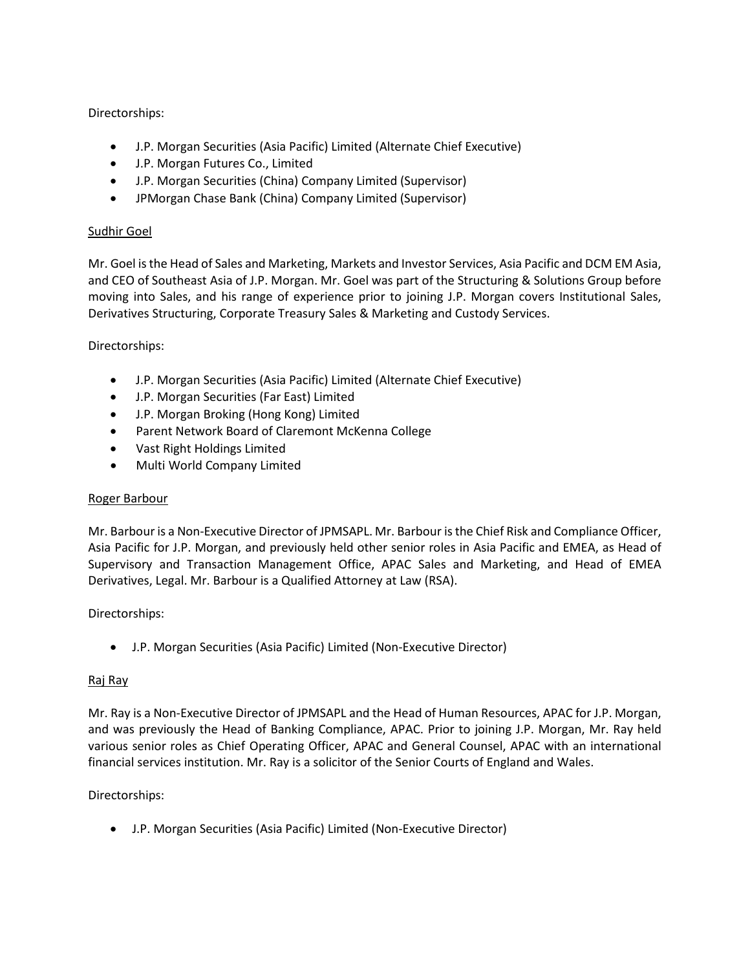Directorships:

- J.P. Morgan Securities (Asia Pacific) Limited (Alternate Chief Executive)
- J.P. Morgan Futures Co., Limited
- J.P. Morgan Securities (China) Company Limited (Supervisor)
- JPMorgan Chase Bank (China) Company Limited (Supervisor)

### Sudhir Goel

Mr. Goel is the Head of Sales and Marketing, Markets and Investor Services, Asia Pacific and DCM EM Asia, and CEO of Southeast Asia of J.P. Morgan. Mr. Goel was part of the Structuring & Solutions Group before moving into Sales, and his range of experience prior to joining J.P. Morgan covers Institutional Sales, Derivatives Structuring, Corporate Treasury Sales & Marketing and Custody Services.

### Directorships:

- J.P. Morgan Securities (Asia Pacific) Limited (Alternate Chief Executive)
- J.P. Morgan Securities (Far East) Limited
- J.P. Morgan Broking (Hong Kong) Limited
- Parent Network Board of Claremont McKenna College
- Vast Right Holdings Limited
- Multi World Company Limited

#### Roger Barbour

Mr. Barbour is a Non-Executive Director of JPMSAPL. Mr. Barbour is the Chief Risk and Compliance Officer, Asia Pacific for J.P. Morgan, and previously held other senior roles in Asia Pacific and EMEA, as Head of Supervisory and Transaction Management Office, APAC Sales and Marketing, and Head of EMEA Derivatives, Legal. Mr. Barbour is a Qualified Attorney at Law (RSA).

#### Directorships:

• J.P. Morgan Securities (Asia Pacific) Limited (Non-Executive Director)

#### Raj Ray

Mr. Ray is a Non-Executive Director of JPMSAPL and the Head of Human Resources, APAC for J.P. Morgan, and was previously the Head of Banking Compliance, APAC. Prior to joining J.P. Morgan, Mr. Ray held various senior roles as Chief Operating Officer, APAC and General Counsel, APAC with an international financial services institution. Mr. Ray is a solicitor of the Senior Courts of England and Wales.

#### Directorships:

• J.P. Morgan Securities (Asia Pacific) Limited (Non-Executive Director)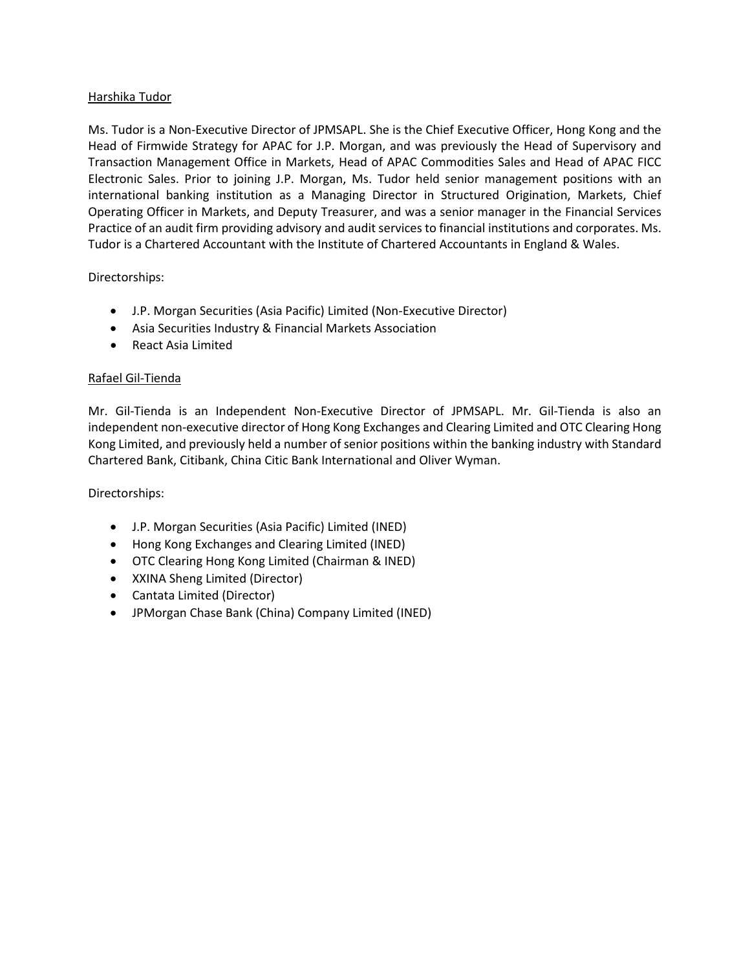### Harshika Tudor

Ms. Tudor is a Non-Executive Director of JPMSAPL. She is the Chief Executive Officer, Hong Kong and the Head of Firmwide Strategy for APAC for J.P. Morgan, and was previously the Head of Supervisory and Transaction Management Office in Markets, Head of APAC Commodities Sales and Head of APAC FICC Electronic Sales. Prior to joining J.P. Morgan, Ms. Tudor held senior management positions with an international banking institution as a Managing Director in Structured Origination, Markets, Chief Operating Officer in Markets, and Deputy Treasurer, and was a senior manager in the Financial Services Practice of an audit firm providing advisory and audit services to financial institutions and corporates. Ms. Tudor is a Chartered Accountant with the Institute of Chartered Accountants in England & Wales.

### Directorships:

- J.P. Morgan Securities (Asia Pacific) Limited (Non-Executive Director)
- Asia Securities Industry & Financial Markets Association
- React Asia Limited

### Rafael Gil-Tienda

Mr. Gil-Tienda is an Independent Non-Executive Director of JPMSAPL. Mr. Gil-Tienda is also an independent non-executive director of Hong Kong Exchanges and Clearing Limited and OTC Clearing Hong Kong Limited, and previously held a number of senior positions within the banking industry with Standard Chartered Bank, Citibank, China Citic Bank International and Oliver Wyman.

#### Directorships:

- J.P. Morgan Securities (Asia Pacific) Limited (INED)
- Hong Kong Exchanges and Clearing Limited (INED)
- OTC Clearing Hong Kong Limited (Chairman & INED)
- XXINA Sheng Limited (Director)
- Cantata Limited (Director)
- JPMorgan Chase Bank (China) Company Limited (INED)